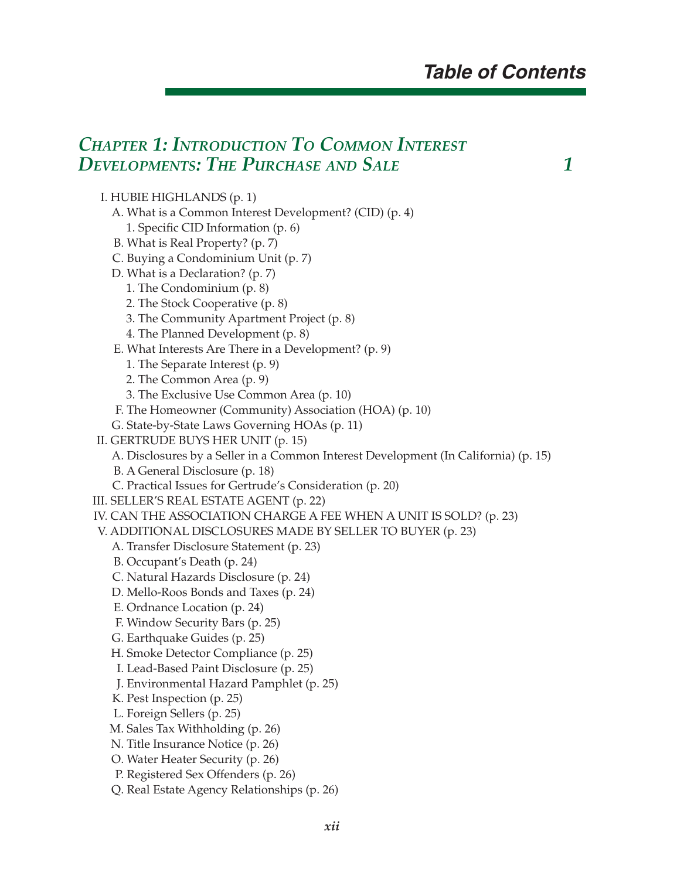#### *CHAPTER 1: INTRODUCTION TO COMMON INTEREST DEVELOPMENTS: THE PURCHASE AND SALE 1*

#### I. HUBIE HIGHLANDS (p. 1)

- A. What is a Common Interest Development? (CID) (p. 4)
	- 1. Specific CID Information (p. 6)
- B. What is Real Property? (p. 7)
- C. Buying a Condominium Unit (p. 7)
- D. What is a Declaration? (p. 7)
	- 1. The Condominium (p. 8)
	- 2. The Stock Cooperative (p. 8)
	- 3. The Community Apartment Project (p. 8)
	- 4. The Planned Development (p. 8)
- E. What Interests Are There in a Development? (p. 9)
	- 1. The Separate Interest (p. 9)
	- 2. The Common Area (p. 9)
	- 3. The Exclusive Use Common Area (p. 10)
- F. The Homeowner (Community) Association (HOA) (p. 10)
- G. State-by-State Laws Governing HOAs (p. 11)
- II. GERTRUDE BUYS HER UNIT (p. 15)
	- A. Disclosures by a Seller in a Common Interest Development (In California) (p. 15)
	- B. A General Disclosure (p. 18)
	- C. Practical Issues for Gertrude's Consideration (p. 20)
- III. SELLER'S REAL ESTATE AGENT (p. 22)
- IV. CAN THE ASSOCIATION CHARGE A FEE WHEN A UNIT IS SOLD? (p. 23)
- V. ADDITIONAL DISCLOSURES MADE BY SELLER TO BUYER (p. 23)
	- A. Transfer Disclosure Statement (p. 23)
	- B. Occupant's Death (p. 24)
	- C. Natural Hazards Disclosure (p. 24)
	- D. Mello-Roos Bonds and Taxes (p. 24)
	- E. Ordnance Location (p. 24)
	- F. Window Security Bars (p. 25)
	- G. Earthquake Guides (p. 25)
	- H. Smoke Detector Compliance (p. 25)
	- I. Lead-Based Paint Disclosure (p. 25)
	- J. Environmental Hazard Pamphlet (p. 25)
	- K. Pest Inspection (p. 25)
	- L. Foreign Sellers (p. 25)
	- M. Sales Tax Withholding (p. 26)
	- N. Title Insurance Notice (p. 26)
	- O. Water Heater Security (p. 26)
	- P. Registered Sex Offenders (p. 26)
	- Q. Real Estate Agency Relationships (p. 26)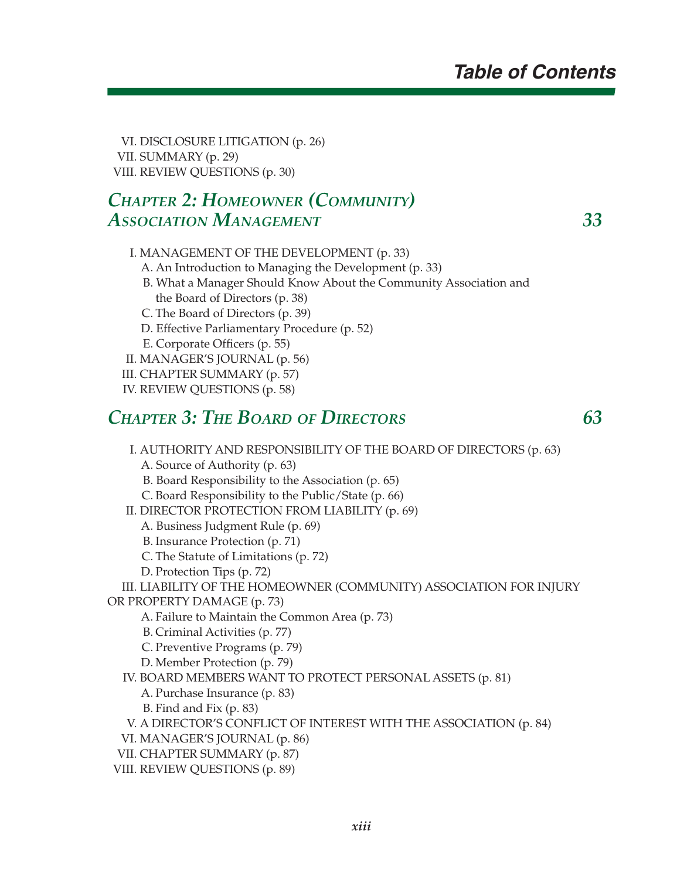VI. DISCLOSURE LITIGATION (p. 26) VII. SUMMARY (p. 29) VIII. REVIEW QUESTIONS (p. 30)

## *CHAPTER 2: HOMEOWNER (COMMUNITY) ASSOCIATION MANAGEMENT 33*

- I. MANAGEMENT OF THE DEVELOPMENT (p. 33)
	- A. An Introduction to Managing the Development (p. 33)
	- B. What a Manager Should Know About the Community Association and the Board of Directors (p. 38)
	- C. The Board of Directors (p. 39)
	- D. Effective Parliamentary Procedure (p. 52)
	- E. Corporate Officers (p. 55)
- II. MANAGER'S JOURNAL (p. 56)
- III. CHAPTER SUMMARY (p. 57)
- IV. REVIEW QUESTIONS (p. 58)

#### *CHAPTER 3: THE BOARD OF DIRECTORS 63*

- I. AUTHORITY AND RESPONSIBILITY OF THE BOARD OF DIRECTORS (p. 63) A. Source of Authority (p. 63)
	-
	- B. Board Responsibility to the Association (p. 65)
- C. Board Responsibility to the Public/State (p. 66) II. DIRECTOR PROTECTION FROM LIABILITY (p. 69)
- - A. Business Judgment Rule (p. 69)
	- B. Insurance Protection (p. 71)
	- C. The Statute of Limitations (p. 72)
	- D. Protection Tips (p. 72)
- III. LIABILITY OF THE HOMEOWNER (COMMUNITY) ASSOCIATION FOR INJURY
- OR PROPERTY DAMAGE (p. 73)
	- A. Failure to Maintain the Common Area (p. 73)
	- B. Criminal Activities (p. 77)
	- C. Preventive Programs (p. 79)
	- D. Member Protection (p. 79)
	- IV. BOARD MEMBERS WANT TO PROTECT PERSONAL ASSETS (p. 81)
		- A. Purchase Insurance (p. 83)
		- B. Find and Fix (p. 83)
	- V. A DIRECTOR'S CONFLICT OF INTEREST WITH THE ASSOCIATION (p. 84)
	- VI. MANAGER'S JOURNAL (p. 86)
	- VII. CHAPTER SUMMARY (p. 87)
	- VIII. REVIEW QUESTIONS (p. 89)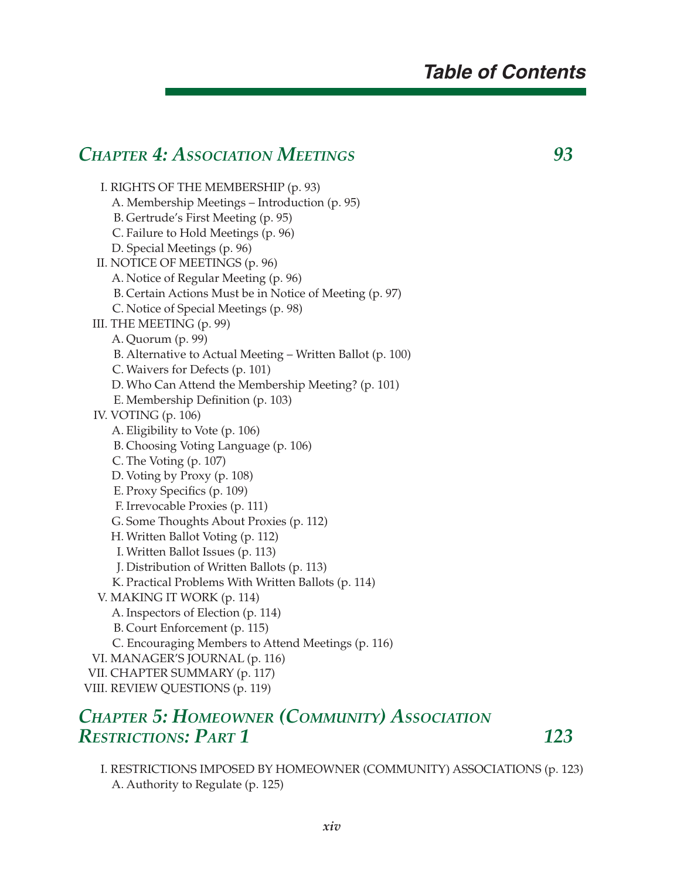#### *CHAPTER 4: ASSOCIATION MEETINGS 93*

 I. RIGHTS OF THE MEMBERSHIP (p. 93) A. Membership Meetings – Introduction (p. 95) B. Gertrude's First Meeting (p. 95) C. Failure to Hold Meetings (p. 96) D. Special Meetings (p. 96) II. NOTICE OF MEETINGS (p. 96) A. Notice of Regular Meeting (p. 96) B. Certain Actions Must be in Notice of Meeting (p. 97) C. Notice of Special Meetings (p. 98) III. THE MEETING (p. 99) A. Quorum (p. 99) B. Alternative to Actual Meeting – Written Ballot (p. 100) C. Waivers for Defects (p. 101) D. Who Can Attend the Membership Meeting? (p. 101) E. Membership Definition (p. 103) IV. VOTING (p. 106) A. Eligibility to Vote (p. 106) B. Choosing Voting Language (p. 106) C. The Voting (p. 107) D. Voting by Proxy (p. 108) E. Proxy Specifics (p. 109) F. Irrevocable Proxies (p. 111) G. Some Thoughts About Proxies (p. 112) H. Written Ballot Voting (p. 112) I. Written Ballot Issues (p. 113) J. Distribution of Written Ballots (p. 113) K. Practical Problems With Written Ballots (p. 114) V. MAKING IT WORK (p. 114) A. Inspectors of Election (p. 114) B. Court Enforcement (p. 115) C. Encouraging Members to Attend Meetings (p. 116) VI. MANAGER'S JOURNAL (p. 116) VII. CHAPTER SUMMARY (p. 117) VIII. REVIEW QUESTIONS (p. 119)

## *CHAPTER 5: HOMEOWNER (COMMUNITY) ASSOCIATION RESTRICTIONS: PART 1* 123

 I. RESTRICTIONS IMPOSED BY HOMEOWNER (COMMUNITY) ASSOCIATIONS (p. 123) A. Authority to Regulate (p. 125)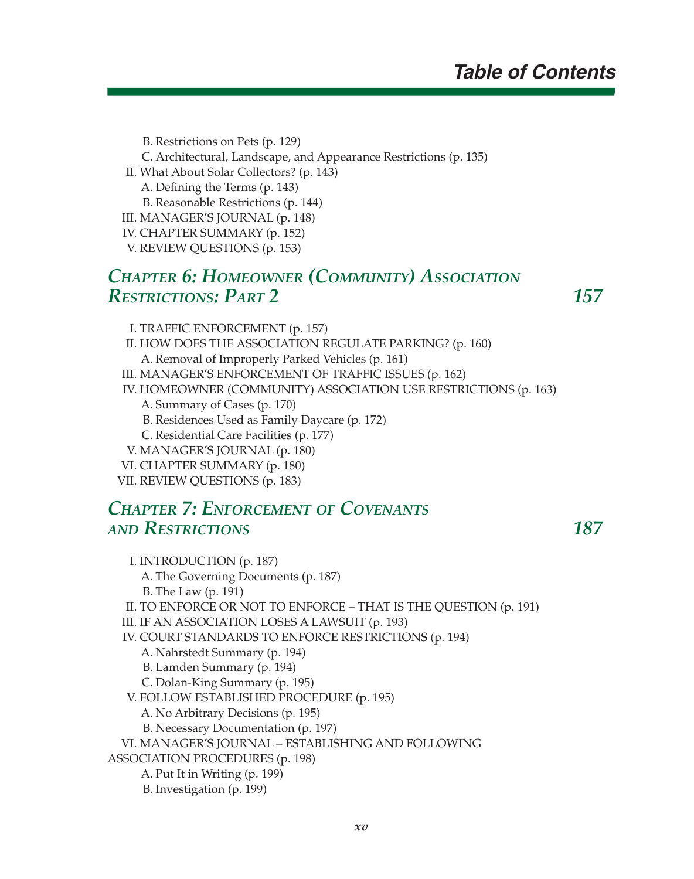B. Restrictions on Pets (p. 129)

- C. Architectural, Landscape, and Appearance Restrictions (p. 135)
- II. What About Solar Collectors? (p. 143)
	- A. Defining the Terms (p. 143)

B. Reasonable Restrictions (p. 144)

- III. MANAGER'S JOURNAL (p. 148)
- IV. CHAPTER SUMMARY (p. 152)
- V. REVIEW QUESTIONS (p. 153)

## *CHAPTER 6: HOMEOWNER (COMMUNITY) ASSOCIATION RESTRICTIONS: PART 2 157*

I. TRAFFIC ENFORCEMENT (p. 157)

- II. HOW DOES THE ASSOCIATION REGULATE PARKING? (p. 160) A. Removal of Improperly Parked Vehicles (p. 161)
- III. MANAGER'S ENFORCEMENT OF TRAFFIC ISSUES (p. 162)

IV. HOMEOWNER (COMMUNITY) ASSOCIATION USE RESTRICTIONS (p. 163)

- A. Summary of Cases (p. 170)
- B. Residences Used as Family Daycare (p. 172)
- C. Residential Care Facilities (p. 177)
- V. MANAGER'S JOURNAL (p. 180)
- VI. CHAPTER SUMMARY (p. 180)
- VII. REVIEW QUESTIONS (p. 183)

### *CHAPTER 7: ENFORCEMENT OF COVENANTS AND RESTRICTIONS 187*

 I. INTRODUCTION (p. 187) A. The Governing Documents (p. 187) B. The Law (p. 191) II. TO ENFORCE OR NOT TO ENFORCE – THAT IS THE QUESTION (p. 191) III. IF AN ASSOCIATION LOSES A LAWSUIT (p. 193) IV. COURT STANDARDS TO ENFORCE RESTRICTIONS (p. 194) A. Nahrstedt Summary (p. 194) B. Lamden Summary (p. 194) C. Dolan-King Summary (p. 195) V. FOLLOW ESTABLISHED PROCEDURE (p. 195) A. No Arbitrary Decisions (p. 195) B. Necessary Documentation (p. 197) VI. MANAGER'S JOURNAL – ESTABLISHING AND FOLLOWING ASSOCIATION PROCEDURES (p. 198) A. Put It in Writing (p. 199) B. Investigation (p. 199)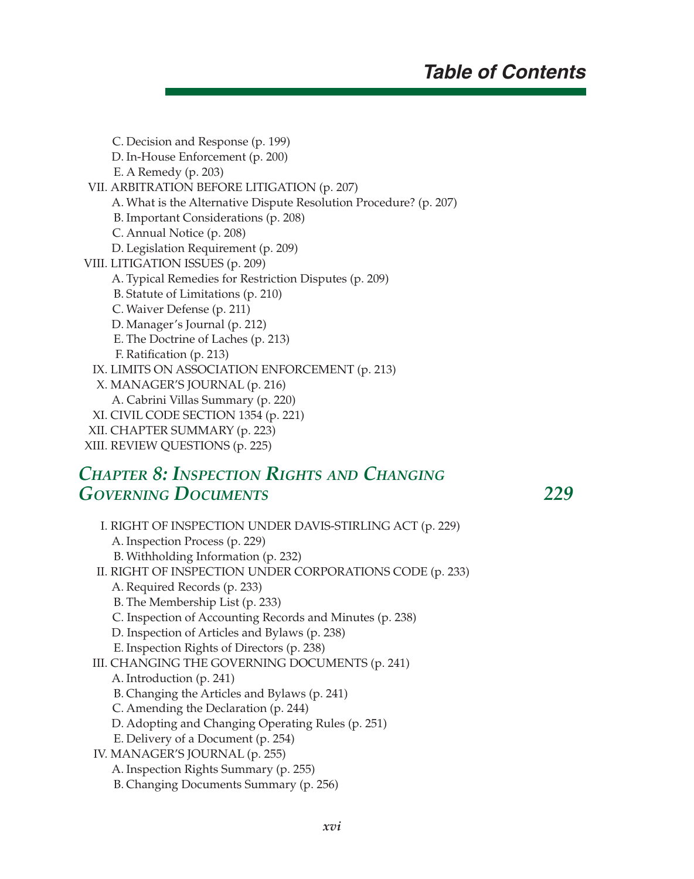C. Decision and Response (p. 199) D. In-House Enforcement (p. 200) E. A Remedy (p. 203) VII. ARBITRATION BEFORE LITIGATION (p. 207) A. What is the Alternative Dispute Resolution Procedure? (p. 207) B. Important Considerations (p. 208) C. Annual Notice (p. 208) D. Legislation Requirement (p. 209) VIII. LITIGATION ISSUES (p. 209) A. Typical Remedies for Restriction Disputes (p. 209) B. Statute of Limitations (p. 210) C. Waiver Defense (p. 211) D. Manager's Journal (p. 212) E. The Doctrine of Laches (p. 213) F. Ratification (p. 213) IX. LIMITS ON ASSOCIATION ENFORCEMENT (p. 213) X. MANAGER'S JOURNAL (p. 216) A. Cabrini Villas Summary (p. 220) XI. CIVIL CODE SECTION 1354 (p. 221) XII. CHAPTER SUMMARY (p. 223) XIII. REVIEW QUESTIONS (p. 225)

#### *CHAPTER 8: INSPECTION RIGHTS AND CHANGING GOVERNING DOCUMENTS 229*

 I. RIGHT OF INSPECTION UNDER DAVIS-STIRLING ACT (p. 229) A. Inspection Process (p. 229) B. Withholding Information (p. 232) II. RIGHT OF INSPECTION UNDER CORPORATIONS CODE (p. 233) A. Required Records (p. 233) B. The Membership List (p. 233) C. Inspection of Accounting Records and Minutes (p. 238) D. Inspection of Articles and Bylaws (p. 238) E. Inspection Rights of Directors (p. 238) III. CHANGING THE GOVERNING DOCUMENTS (p. 241) A. Introduction (p. 241) B. Changing the Articles and Bylaws (p. 241) C. Amending the Declaration (p. 244) D. Adopting and Changing Operating Rules (p. 251) E. Delivery of a Document (p. 254) IV. MANAGER'S JOURNAL (p. 255) A. Inspection Rights Summary (p. 255) B. Changing Documents Summary (p. 256)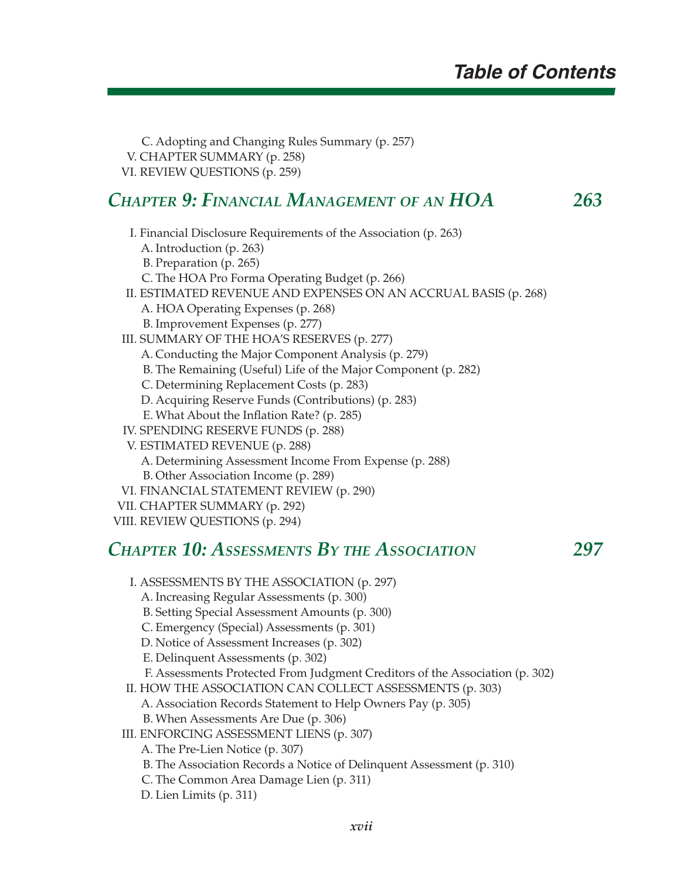C. Adopting and Changing Rules Summary (p. 257) V. CHAPTER SUMMARY (p. 258) VI. REVIEW QUESTIONS (p. 259)

#### *CHAPTER 9: FINANCIAL MANAGEMENT OF AN HOA 263*

 I. Financial Disclosure Requirements of the Association (p. 263) A. Introduction (p. 263) B. Preparation (p. 265) C. The HOA Pro Forma Operating Budget (p. 266) II. ESTIMATED REVENUE AND EXPENSES ON AN ACCRUAL BASIS (p. 268) A. HOA Operating Expenses (p. 268) B. Improvement Expenses (p. 277) III. SUMMARY OF THE HOA'S RESERVES (p. 277) A. Conducting the Major Component Analysis (p. 279) B. The Remaining (Useful) Life of the Major Component (p. 282) C. Determining Replacement Costs (p. 283) D. Acquiring Reserve Funds (Contributions) (p. 283) E. What About the Inflation Rate? (p. 285) IV. SPENDING RESERVE FUNDS (p. 288) V. ESTIMATED REVENUE (p. 288) A. Determining Assessment Income From Expense (p. 288) B. Other Association Income (p. 289) VI. FINANCIAL STATEMENT REVIEW (p. 290) VII. CHAPTER SUMMARY (p. 292)

VIII. REVIEW QUESTIONS (p. 294)

#### *CHAPTER 10: ASSESSMENTS BY THE ASSOCIATION 297*

 I. ASSESSMENTS BY THE ASSOCIATION (p. 297) A. Increasing Regular Assessments (p. 300) B. Setting Special Assessment Amounts (p. 300) C. Emergency (Special) Assessments (p. 301) D. Notice of Assessment Increases (p. 302) E. Delinquent Assessments (p. 302) F. Assessments Protected From Judgment Creditors of the Association (p. 302) II. HOW THE ASSOCIATION CAN COLLECT ASSESSMENTS (p. 303) A. Association Records Statement to Help Owners Pay (p. 305) B. When Assessments Are Due (p. 306) III. ENFORCING ASSESSMENT LIENS (p. 307) A. The Pre-Lien Notice (p. 307) B. The Association Records a Notice of Delinquent Assessment (p. 310) C. The Common Area Damage Lien (p. 311) D. Lien Limits (p. 311)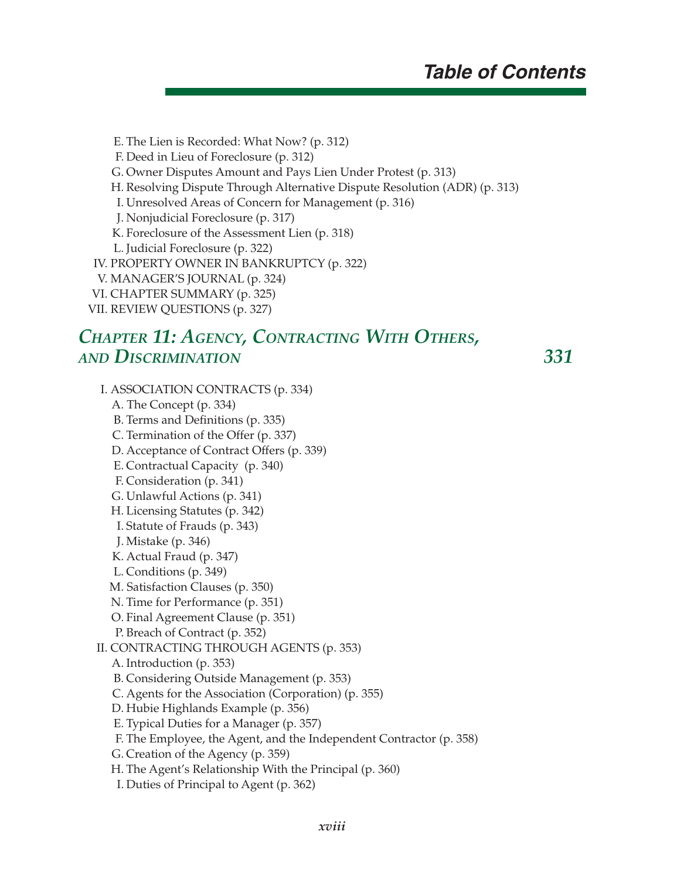E. The Lien is Recorded: What Now? (p. 312) F. Deed in Lieu of Foreclosure (p. 312) G. Owner Disputes Amount and Pays Lien Under Protest (p. 313) H. Resolving Dispute Through Alternative Dispute Resolution (ADR) (p. 313) I. Unresolved Areas of Concern for Management (p. 316) J. Nonjudicial Foreclosure (p. 317) K. Foreclosure of the Assessment Lien (p. 318) L. Judicial Foreclosure (p. 322) IV. PROPERTY OWNER IN BANKRUPTCY (p. 322) V. MANAGER'S JOURNAL (p. 324) VI. CHAPTER SUMMARY (p. 325) VII. REVIEW QUESTIONS (p. 327)

#### *CHAPTER 11: AGENCY, CONTRACTING WITH OTHERS, AND DISCRIMINATION 331*

 I. ASSOCIATION CONTRACTS (p. 334) A. The Concept (p. 334) B. Terms and Definitions (p. 335) C. Termination of the Offer (p. 337) D. Acceptance of Contract Offers (p. 339) E. Contractual Capacity (p. 340) F. Consideration (p. 341) G. Unlawful Actions (p. 341) H. Licensing Statutes (p. 342) I. Statute of Frauds (p. 343) J. Mistake (p. 346) K. Actual Fraud (p. 347) L. Conditions (p. 349) M. Satisfaction Clauses (p. 350) N. Time for Performance (p. 351) O. Final Agreement Clause (p. 351) P. Breach of Contract (p. 352) II. CONTRACTING THROUGH AGENTS (p. 353) A. Introduction (p. 353) B. Considering Outside Management (p. 353) C. Agents for the Association (Corporation) (p. 355) D. Hubie Highlands Example (p. 356) E. Typical Duties for a Manager (p. 357) F. The Employee, the Agent, and the Independent Contractor (p. 358) G. Creation of the Agency (p. 359) H. The Agent's Relationship With the Principal (p. 360) I. Duties of Principal to Agent (p. 362)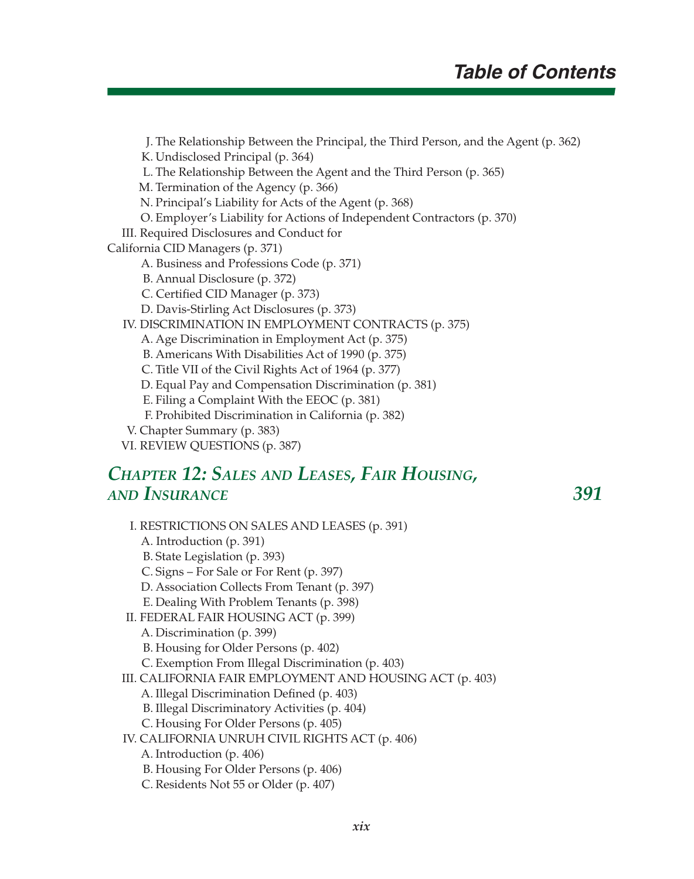J. The Relationship Between the Principal, the Third Person, and the Agent (p. 362)

K. Undisclosed Principal (p. 364)

L. The Relationship Between the Agent and the Third Person (p. 365)

M. Termination of the Agency (p. 366)

N. Principal's Liability for Acts of the Agent (p. 368)

O. Employer's Liability for Actions of Independent Contractors (p. 370)

III. Required Disclosures and Conduct for

California CID Managers (p. 371)

A. Business and Professions Code (p. 371)

B. Annual Disclosure (p. 372)

C. Certified CID Manager (p. 373)

D. Davis-Stirling Act Disclosures (p. 373)

IV. DISCRIMINATION IN EMPLOYMENT CONTRACTS (p. 375)

A. Age Discrimination in Employment Act (p. 375)

B. Americans With Disabilities Act of 1990 (p. 375)

C. Title VII of the Civil Rights Act of 1964 (p. 377)

D. Equal Pay and Compensation Discrimination (p. 381)

E. Filing a Complaint With the EEOC (p. 381)

F. Prohibited Discrimination in California (p. 382)

- V. Chapter Summary (p. 383)
- VI. REVIEW QUESTIONS (p. 387)

#### *CHAPTER 12: SALES AND LEASES, FAIR HOUSING, AND INSURANCE 391*

 I. RESTRICTIONS ON SALES AND LEASES (p. 391) A. Introduction (p. 391) B. State Legislation (p. 393) C. Signs – For Sale or For Rent (p. 397) D. Association Collects From Tenant (p. 397) E. Dealing With Problem Tenants (p. 398) II. FEDERAL FAIR HOUSING ACT (p. 399) A. Discrimination (p. 399) B. Housing for Older Persons (p. 402) C. Exemption From Illegal Discrimination (p. 403) III. CALIFORNIA FAIR EMPLOYMENT AND HOUSING ACT (p. 403) A. Illegal Discrimination Defined (p. 403) B. Illegal Discriminatory Activities (p. 404) C. Housing For Older Persons (p. 405) IV. CALIFORNIA UNRUH CIVIL RIGHTS ACT (p. 406) A. Introduction (p. 406) B. Housing For Older Persons (p. 406) C. Residents Not 55 or Older (p. 407)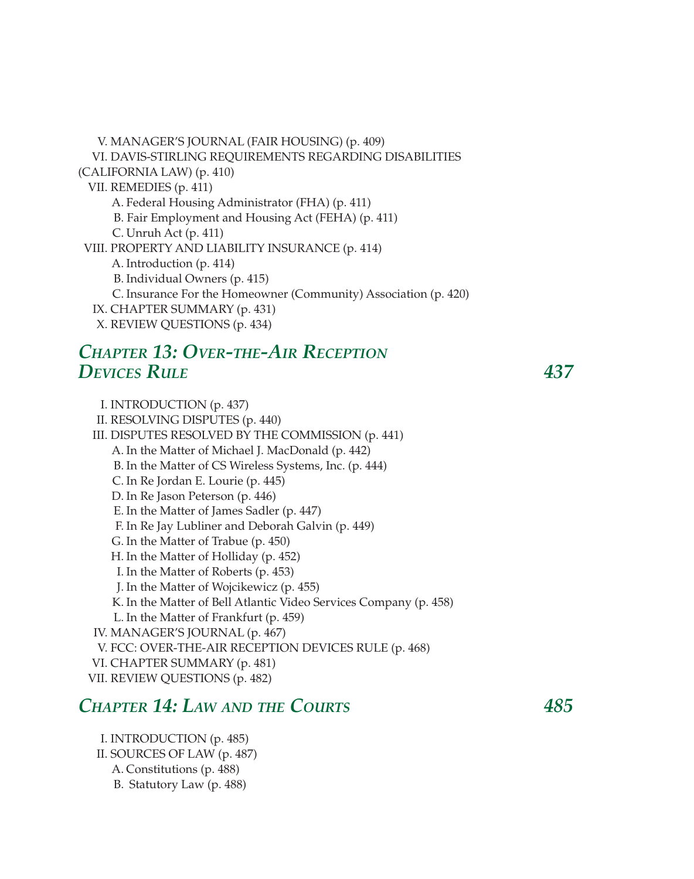V. MANAGER'S JOURNAL (FAIR HOUSING) (p. 409) VI. DAVIS-STIRLING REQUIREMENTS REGARDING DISABILITIES (CALIFORNIA LAW) (p. 410) VII. REMEDIES (p. 411) A. Federal Housing Administrator (FHA) (p. 411) B. Fair Employment and Housing Act (FEHA) (p. 411) C. Unruh Act (p. 411) VIII. PROPERTY AND LIABILITY INSURANCE (p. 414) A. Introduction (p. 414) B. Individual Owners (p. 415) C. Insurance For the Homeowner (Community) Association (p. 420) IX. CHAPTER SUMMARY (p. 431) X. REVIEW QUESTIONS (p. 434)

#### *CHAPTER 13: OVER-THE-AIR RECEPTION DEVICES RULE 437*

 I. INTRODUCTION (p. 437) II. RESOLVING DISPUTES (p. 440) III. DISPUTES RESOLVED BY THE COMMISSION (p. 441) A. In the Matter of Michael J. MacDonald (p. 442) B. In the Matter of CS Wireless Systems, Inc. (p. 444) C. In Re Jordan E. Lourie (p. 445) D. In Re Jason Peterson (p. 446) E. In the Matter of James Sadler (p. 447) F. In Re Jay Lubliner and Deborah Galvin (p. 449) G. In the Matter of Trabue (p. 450) H. In the Matter of Holliday (p. 452) I. In the Matter of Roberts (p. 453) J. In the Matter of Wojcikewicz (p. 455) K. In the Matter of Bell Atlantic Video Services Company (p. 458) L. In the Matter of Frankfurt (p. 459) IV. MANAGER'S JOURNAL (p. 467) V. FCC: OVER-THE-AIR RECEPTION DEVICES RULE (p. 468) VI. CHAPTER SUMMARY (p. 481) VII. REVIEW QUESTIONS (p. 482)

#### *CHAPTER 14: LAW AND THE COURTS 485*

 I. INTRODUCTION (p. 485) II. SOURCES OF LAW (p. 487) A. Constitutions (p. 488) B. Statutory Law (p. 488)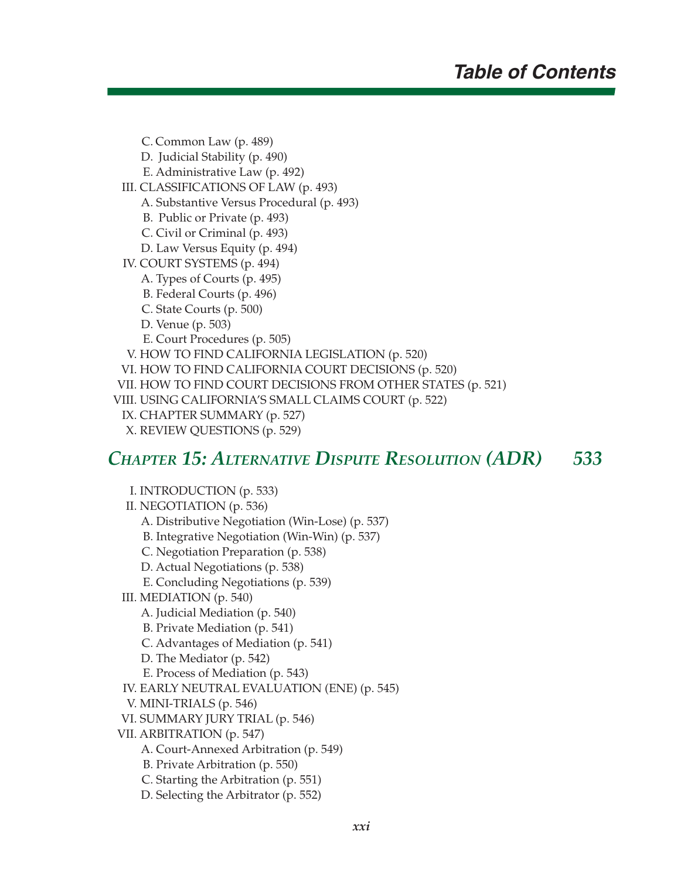C. Common Law (p. 489) D. Judicial Stability (p. 490) E. Administrative Law (p. 492) III. CLASSIFICATIONS OF LAW (p. 493) A. Substantive Versus Procedural (p. 493) B. Public or Private (p. 493) C. Civil or Criminal (p. 493) D. Law Versus Equity (p. 494) IV. COURT SYSTEMS (p. 494) A. Types of Courts (p. 495) B. Federal Courts (p. 496) C. State Courts (p. 500) D. Venue (p. 503) E. Court Procedures (p. 505) V. HOW TO FIND CALIFORNIA LEGISLATION (p. 520) VI. HOW TO FIND CALIFORNIA COURT DECISIONS (p. 520) VII. HOW TO FIND COURT DECISIONS FROM OTHER STATES (p. 521) VIII. USING CALIFORNIA'S SMALL CLAIMS COURT (p. 522) IX. CHAPTER SUMMARY (p. 527) X. REVIEW QUESTIONS (p. 529)

#### *CHAPTER 15: ALTERNATIVE DISPUTE RESOLUTION (ADR) 533*

 I. INTRODUCTION (p. 533) II. NEGOTIATION (p. 536) A. Distributive Negotiation (Win-Lose) (p. 537) B. Integrative Negotiation (Win-Win) (p. 537) C. Negotiation Preparation (p. 538) D. Actual Negotiations (p. 538) E. Concluding Negotiations (p. 539) III. MEDIATION (p. 540) A. Judicial Mediation (p. 540) B. Private Mediation (p. 541) C. Advantages of Mediation (p. 541) D. The Mediator (p. 542) E. Process of Mediation (p. 543) IV. EARLY NEUTRAL EVALUATION (ENE) (p. 545) V. MINI-TRIALS (p. 546) VI. SUMMARY JURY TRIAL (p. 546) VII. ARBITRATION (p. 547) A. Court-Annexed Arbitration (p. 549) B. Private Arbitration (p. 550) C. Starting the Arbitration (p. 551) D. Selecting the Arbitrator (p. 552)